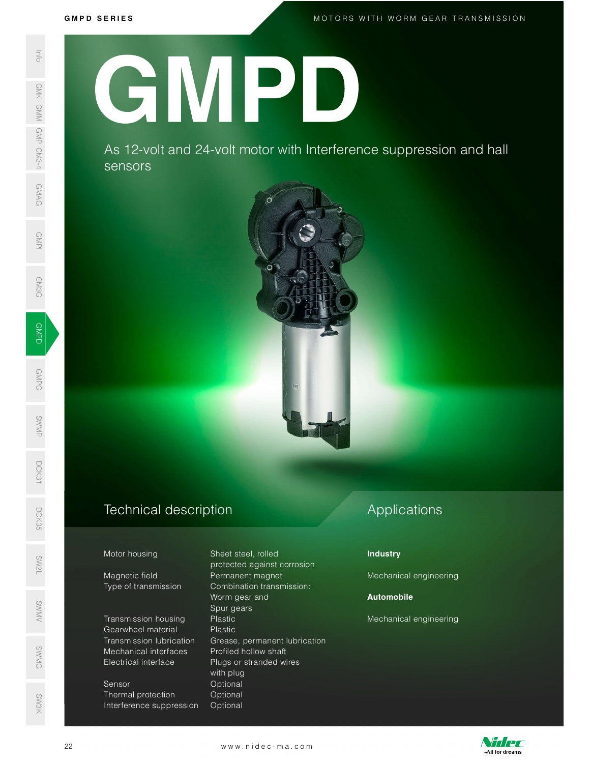GMPD<br>Demokratik<br>Demokratik

GMPG

SWMP

DCK31

M O T O R S W I T H W O R M G E A R T R A N S M I S S I O N

GMPI

**CM3G** 

# G M P D S E R I E S SWAS 12-VC<br>
SERIES AS 12-VC<br>
SERIES AS 12-VC<br>
SERIES AS 12-VC<br>
SERIES AS 12-VC<br>
SERIES AS 12-VC<br>
Magnetic field<br>
Transmission<br>
Magnetic field<br>
Transmission<br>
Magnetic field<br>
Transmission<br>
Transmission<br>
Transmission<br>
Electri GMPD

As 12-volt and 24-volt motor with Interference suppression and hall sensors



# Technical description D<sub>CK</sub><br>35<br>55

### Motor housing Sheet steel, rolled

Magnetic field **Permanent magnet** SW<br>No. 1986<br>No. 1986

Gearwheel material Plastic

Sensor **Optional** Thermal protection **Optional** Interference suppression Optional

 protected against corrosion Type of transmission Combination transmission: Worm gear and Spur gears s<br>Spur gears<br>SWMV Transmission housing Plastic Transmission lubrication Grease, permanent lubrication ©<br>
Mechanical interfaces Profiled hollow shaft<br>
Electrical interface Plugs or stranded wires Electrical interface Plugs or stranded wires with plug Gearwheel material<br>
Transmission lubrication<br>
Mechanical interfaces<br>
Mechanical interfaces<br>
Plugs or stranded wires<br>
with plug<br>
Sensor<br>
Thermal protection<br>
Optional<br>
Interference suppression Optional<br>
22<br>
WWW.nidec-ma.com

# Applications

## Industry

Mechanical engineering

# Automobile

Mechanical engineering



SW3K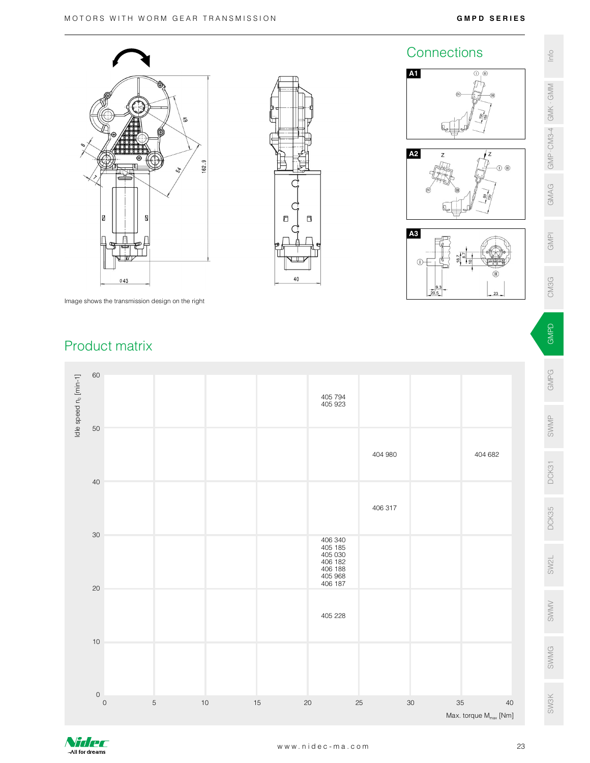





Image shows the transmission design on the right

# Product matrix



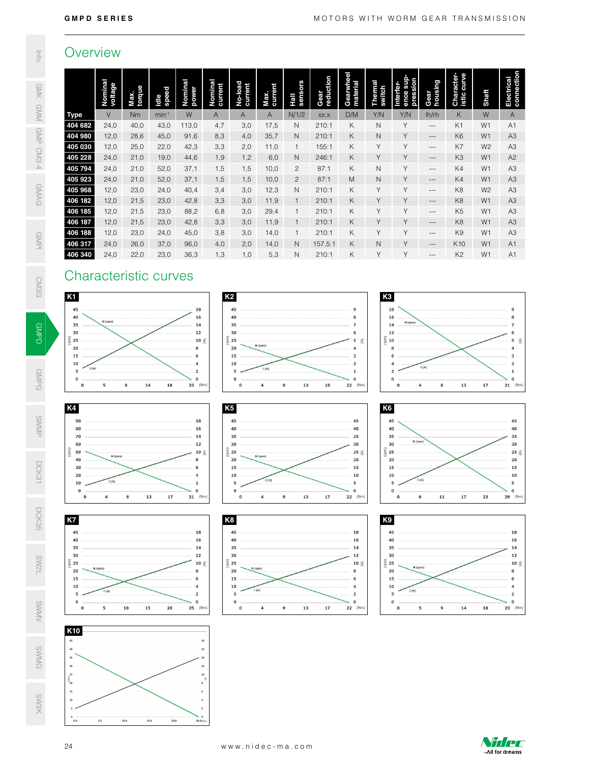# **Overview**

| ı |  |
|---|--|
| í |  |
|   |  |

|                                                                                                                                                     | Overview                               |                                      |               |                                                                                                                                                                                                                                                                                                                                                                                                                                                    |                                  |                                                                                                                                      |                                                                |                                                      |                   |                                                                                                                                                                         |                                           |                                                                                                                                                              |                                                                                                                                                                                                                                               |                                  |                                  |                                                                                                                                                                        |
|-----------------------------------------------------------------------------------------------------------------------------------------------------|----------------------------------------|--------------------------------------|---------------|----------------------------------------------------------------------------------------------------------------------------------------------------------------------------------------------------------------------------------------------------------------------------------------------------------------------------------------------------------------------------------------------------------------------------------------------------|----------------------------------|--------------------------------------------------------------------------------------------------------------------------------------|----------------------------------------------------------------|------------------------------------------------------|-------------------|-------------------------------------------------------------------------------------------------------------------------------------------------------------------------|-------------------------------------------|--------------------------------------------------------------------------------------------------------------------------------------------------------------|-----------------------------------------------------------------------------------------------------------------------------------------------------------------------------------------------------------------------------------------------|----------------------------------|----------------------------------|------------------------------------------------------------------------------------------------------------------------------------------------------------------------|
|                                                                                                                                                     | Nominal<br>voltage                     | Max.<br>torque                       | ldle<br>speed | Nominal<br>power                                                                                                                                                                                                                                                                                                                                                                                                                                   | Nominal<br>current               | No-load<br>current                                                                                                                   | Max.<br>current                                                | Hall<br>sensors                                      | Gear<br>reduction | Gearwheel<br>material                                                                                                                                                   | Thermal<br>switch                         | Interfer-<br>ence sup-<br>pression                                                                                                                           | Gear<br>housing                                                                                                                                                                                                                               | Character-<br>istic curve        | Shaft                            | Electrical<br>connection                                                                                                                                               |
| <b>Type</b>                                                                                                                                         | $\vee$                                 | <b>Nm</b>                            | $min-1$       | W                                                                                                                                                                                                                                                                                                                                                                                                                                                  | A                                | A                                                                                                                                    | $\mathsf{A}$                                                   | N/1/2                                                | XX:X              | D/M                                                                                                                                                                     | Y/N                                       | Y/N                                                                                                                                                          | lh/rh                                                                                                                                                                                                                                         | K                                | W                                | $\mathsf{A}$                                                                                                                                                           |
| 404 682<br>404 980                                                                                                                                  | 24,0                                   | 40,0                                 | 43,0          | 113,0                                                                                                                                                                                                                                                                                                                                                                                                                                              | 4,7                              | 3,0                                                                                                                                  | 17,5                                                           | $\mathsf{N}$                                         | 210:1<br>210:1    | K<br>$\sf K$                                                                                                                                                            | $\mathsf{N}$<br>$\mathsf N$               | Y<br>Y                                                                                                                                                       | $\hspace{0.05cm} \ldots$                                                                                                                                                                                                                      | K1<br>K <sub>6</sub>             | W1<br>W <sub>1</sub>             | A <sub>1</sub>                                                                                                                                                         |
| 405 030                                                                                                                                             | 12,0<br>12,0                           | 28,6<br>25,0                         | 45,0<br>22,0  | 91,6<br>42,3                                                                                                                                                                                                                                                                                                                                                                                                                                       | 8,3<br>3,3                       | 4,0<br>2,0                                                                                                                           | 35,7<br>11,0                                                   | $\mathsf{N}$<br>$\mathbf{1}$                         | 155:1             | K                                                                                                                                                                       | Y                                         | Y                                                                                                                                                            | $\hspace{0.05cm} \ldots$<br>$\hspace{0.02in} \hspace{0.02in} \hspace{0.02in} \hspace{0.02in} \hspace{0.02in} \hspace{0.02in} \hspace{0.02in} \hspace{0.02in} \hspace{0.02in} \hspace{0.02in} \hspace{0.02in} \hspace{0.02in} \hspace{0.02in}$ | K7                               | W <sub>2</sub>                   | A <sub>3</sub><br>A <sub>3</sub>                                                                                                                                       |
| 405 228                                                                                                                                             | 24,0                                   | 21,0                                 | 19,0          | 44,6                                                                                                                                                                                                                                                                                                                                                                                                                                               | 1,9                              | 1,2                                                                                                                                  | 6,0                                                            | $\mathsf{N}$                                         | 246:1             | Κ                                                                                                                                                                       | Y                                         | Y                                                                                                                                                            | $\cdots$                                                                                                                                                                                                                                      | K <sub>3</sub>                   | W <sub>1</sub>                   | A <sub>2</sub>                                                                                                                                                         |
| 405 794                                                                                                                                             | 24,0                                   | 21,0                                 | 52,0          | 37,1                                                                                                                                                                                                                                                                                                                                                                                                                                               | 1,5                              | 1,5                                                                                                                                  | 10,0                                                           | $\overline{c}$                                       | 87:1              | K                                                                                                                                                                       | $\mathsf{N}$                              | Y                                                                                                                                                            | $-\, -\, -$                                                                                                                                                                                                                                   | K4                               | W1                               | A <sub>3</sub>                                                                                                                                                         |
| 405 923<br>405 968                                                                                                                                  | 24,0<br>12,0                           | 21,0<br>23,0                         | 52,0<br>24,0  | 37,1<br>40,4                                                                                                                                                                                                                                                                                                                                                                                                                                       | 1,5<br>3,4                       | 1,5<br>3,0                                                                                                                           | 10,0<br>12,3                                                   | $\overline{c}$<br>N                                  | 87:1<br>210:1     | M<br>$\sf K$                                                                                                                                                            | $\mathsf{N}$<br>Y                         | Y<br>Y                                                                                                                                                       | $\hspace{1.5cm} \ldots$<br>$\hspace{0.02in} -\hspace{0.02in} -\hspace{0.02in}$                                                                                                                                                                | K4<br>K8                         | W <sub>1</sub><br>W <sub>2</sub> | A <sub>3</sub><br>A <sub>3</sub>                                                                                                                                       |
| 406 182                                                                                                                                             | 12,0                                   | 21,5                                 | 23,0          | 42,8                                                                                                                                                                                                                                                                                                                                                                                                                                               | 3,3                              | 3,0                                                                                                                                  | 11,9                                                           | $\mathbf{1}$                                         | 210:1             | $\sf K$                                                                                                                                                                 | Y                                         | Y                                                                                                                                                            | $---$                                                                                                                                                                                                                                         | K <sub>8</sub>                   | W <sub>1</sub>                   | A <sub>3</sub>                                                                                                                                                         |
| 406 185                                                                                                                                             | 12,0                                   | 21,5                                 | 23,0          | 88,2                                                                                                                                                                                                                                                                                                                                                                                                                                               | 6,8                              | 3,0                                                                                                                                  | 29,4                                                           | $\overline{1}$                                       | 210:1             | К                                                                                                                                                                       | Y                                         | Υ                                                                                                                                                            | $\cdots$                                                                                                                                                                                                                                      | K <sub>5</sub>                   | W <sub>1</sub>                   | A <sub>3</sub>                                                                                                                                                         |
| 406 187<br>406 188                                                                                                                                  | 12,0<br>12,0                           | 21,5<br>23,0                         | 23,0<br>24,0  | 42,8<br>45,0                                                                                                                                                                                                                                                                                                                                                                                                                                       | 3,3<br>3,8                       | 3,0<br>3,0                                                                                                                           | 11,9<br>14,0                                                   | $\mathbf{1}$<br>$\mathbf{1}$                         | 210:1<br>210:1    | Κ<br>Κ                                                                                                                                                                  | Y<br>Y                                    | Υ<br>Υ                                                                                                                                                       | $-\, -$<br>$---$                                                                                                                                                                                                                              | K <sub>8</sub><br>K <sub>9</sub> | W <sub>1</sub><br>W <sub>1</sub> | A <sub>3</sub><br>A <sub>3</sub>                                                                                                                                       |
| 406 317                                                                                                                                             | 24,0                                   | 26,0                                 | 37,0          | 96,0                                                                                                                                                                                                                                                                                                                                                                                                                                               | 4,0                              | 2,0                                                                                                                                  | 14,0                                                           | $\mathsf{N}$                                         | 157,5:1           | Κ                                                                                                                                                                       | $\mathsf N$                               | Y                                                                                                                                                            | $\cdots$                                                                                                                                                                                                                                      | K10                              | W <sub>1</sub>                   | A1                                                                                                                                                                     |
| 406 340                                                                                                                                             | 24,0                                   | 22,0                                 | 23,0          | 36,3                                                                                                                                                                                                                                                                                                                                                                                                                                               | 1,3                              | 1,0                                                                                                                                  | 5,3                                                            | $\mathsf{N}$                                         | 210:1             | Κ                                                                                                                                                                       | Y                                         | Y                                                                                                                                                            | $\overline{\phantom{a}}$                                                                                                                                                                                                                      | K <sub>2</sub>                   | W <sub>1</sub>                   | A <sub>1</sub>                                                                                                                                                         |
| 15<br>10<br>I(A)<br>5<br>$\mathbf 0$<br>$\mathbf 0$<br>K4<br>90<br>80<br>70<br>60<br>50<br>40<br>30<br>20<br>10<br>$\mathbf 0$<br>$\mathbf 0$<br>K7 | 5<br>N (rpm)<br>I(A)<br>$\overline{4}$ | 14<br>$\overline{9}$<br>13<br>$\bf8$ | 18<br>17      | 6<br>$\overline{a}$<br>$\overline{a}$<br>$\mathbf{o}$<br>$23$ (Nm)<br>18<br>16<br>14<br>12<br>$10 \leq$<br>6<br>$\overline{a}$<br>$\overline{2}$<br>$\mathbf{o}$<br>$21$ (Nm)                                                                                                                                                                                                                                                                      | K <sub>5</sub><br>K <sub>8</sub> | 15<br>10<br>5<br>$\mathbf 0$<br>$\mathbf{0}$<br>45<br>40<br>35<br>30<br>$E = 25$<br>20<br>15<br>10<br>5<br>$\pmb{0}$<br>$\mathbf{0}$ | I(A)<br>$\overline{4}$<br>N (rpm)<br>$(A)$ I<br>$\overline{a}$ | 13<br>$\overline{9}$<br>${\bf 13}$<br>$\overline{9}$ | 18<br>$17\,$      | 3<br>$\overline{2}$<br>$\mathbf{1}$<br>$\mathbf 0$<br>22 (Nm)<br>45<br>40<br>35<br>30<br>25 $\mathfrak{S}$<br>$20\,$<br>15<br>${\bf 10}$<br>5<br>$\mathbf 0$<br>22 (Nm) | K <sub>6</sub><br>$\overline{5}$ 25<br>K9 | 6<br>$\overline{4}$<br>$\overline{2}$<br>$\mathbf{o}$<br>$\mathbf 0$<br>45<br>40<br>35<br>N (rpm)<br>30<br>20<br>15<br>10<br>5<br>$\mathbf 0$<br>$\mathbf 0$ | I(A)<br>$\overline{4}$<br>8<br>I(A)<br>$\mathbf 6$<br>11                                                                                                                                                                                      | 13<br>$17$                       | 17<br>23                         | 3<br>$\overline{\mathbf{2}}$<br>$\mathbf 1$<br>$\mathbf 0$<br>$21$ (Nm)<br>45<br>40<br>35<br>30<br>25 $\mathfrak{S}$<br>20<br>15<br>10<br>5<br>$\mathbf{o}$<br>29 (Nm) |
| 45<br>40<br>35<br>30<br>$E$ 25<br>20<br>15<br>10<br>5<br>$\mathbf 0$<br>$\pmb{0}$<br>K10<br>$\bf 45$<br>40<br>35<br>30<br>$\bf 25$                  | N (rpm)<br>I(A)<br>5                   | 10<br>15                             | 20            | 18<br>16<br>14<br>12<br>10 $\mathfrak{S}$<br>6<br>$\overline{a}$<br>$\overline{2}$<br>$\mathbf 0$<br>$25$ (Nm)<br>12                                                                                                                                                                                                                                                                                                                               |                                  | 45<br>40<br>35<br>30<br>$\widehat{\mathsf{E}}$ 25<br>N (rpm)<br>20<br>15<br>10<br>I(A)<br>5<br>$\mathbf 0$<br>$\mathbf{o}$           | $\overline{4}$                                                 | $\overline{9}$<br>13                                 | $17$              | 18<br>${\bf 16}$<br>14<br>${\bf 12}$<br>10 $\leq$<br>8<br>6<br>$\overline{a}$<br>$\overline{2}$<br>$\mathbf{o}$<br>22 (Nm)                                              | $\widehat{a}$ 25                          | 45<br>40<br>35<br>30<br>N (rpm)<br>20<br>15<br>10<br>$\mathbb{I}\left( \mathbb{A}\right)$<br>5<br>$\mathbf 0$<br>$\mathbf 0$                                 | 5<br>9                                                                                                                                                                                                                                        | 14                               | 18                               | 18<br>16<br>14<br>12<br>$10 \leq$<br>8<br>6<br>$\overline{a}$<br>$\overline{2}$<br>$\mathbf 0$<br>$23$ (Nm)                                                            |
| $\overline{20}$<br>$15\,$<br>$10\,$<br>$^{\rm o}$<br>24                                                                                             | 5,2                                    | 10,4<br>15,6                         | 20,8          | $\mathbf{2}% =\mathbf{2}+\mathbf{2}+\mathbf{3}+\mathbf{5}+\mathbf{5}+\mathbf{5}+\mathbf{6}+\mathbf{6}+\mathbf{5}+\mathbf{5}+\mathbf{6}+\mathbf{5}+\mathbf{6}+\mathbf{6}+\mathbf{5}+\mathbf{5}+\mathbf{6}+\mathbf{5}+\mathbf{6}+\mathbf{6}+\mathbf{5}+\mathbf{6}+\mathbf{6}+\mathbf{5}+\mathbf{6}+\mathbf{6}+\mathbf{6}+\mathbf{6}+\mathbf{6}+\mathbf{6}+\mathbf{6}+\mathbf{6}+\mathbf{6}+\mathbf{6}+\mathbf{6}+\mathbf$<br>$\Omega$<br>$26,0$ (Nm) |                                  | www.nidec-ma.com                                                                                                                     |                                                                |                                                      |                   |                                                                                                                                                                         |                                           |                                                                                                                                                              |                                                                                                                                                                                                                                               |                                  |                                  | Nidec<br>-All for dreams                                                                                                                                               |

# Characteristic curves